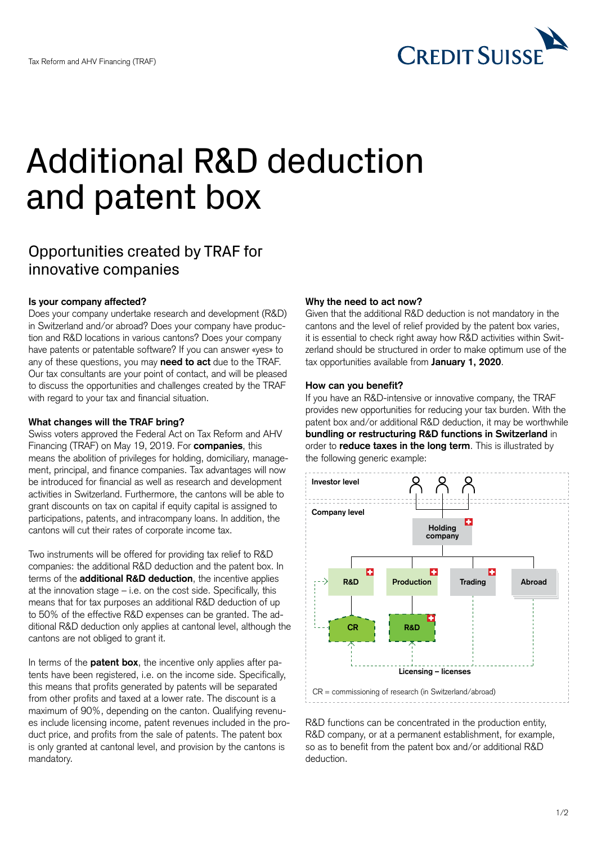

# Additional R&D deduction and patent box

# Opportunities created by TRAF for innovative companies

### **Is your company affected?**

Does your company undertake research and development (R&D) in Switzerland and/or abroad? Does your company have production and R&D locations in various cantons? Does your company have patents or patentable software? If you can answer «yes» to any of these questions, you may **need to act** due to the TRAF. Our tax consultants are your point of contact, and will be pleased to discuss the opportunities and challenges created by the TRAF with regard to your tax and financial situation.

#### **What changes will the TRAF bring?**

Swiss voters approved the Federal Act on Tax Reform and AHV Financing (TRAF) on May 19, 2019. For **companies**, this means the abolition of privileges for holding, domiciliary, management, principal, and finance companies. Tax advantages will now be introduced for financial as well as research and development activities in Switzerland. Furthermore, the cantons will be able to grant discounts on tax on capital if equity capital is assigned to participations, patents, and intracompany loans. In addition, the cantons will cut their rates of corporate income tax.

Two instruments will be offered for providing tax relief to R&D companies: the additional R&D deduction and the patent box. In terms of the **additional R&D deduction**, the incentive applies at the innovation stage – i.e. on the cost side. Specifically, this means that for tax purposes an additional R&D deduction of up to 50% of the effective R&D expenses can be granted. The additional R&D deduction only applies at cantonal level, although the cantons are not obliged to grant it.

In terms of the **patent box**, the incentive only applies after patents have been registered, i.e. on the income side. Specifically, this means that profits generated by patents will be separated from other profits and taxed at a lower rate. The discount is a maximum of 90%, depending on the canton. Qualifying revenues include licensing income, patent revenues included in the product price, and profits from the sale of patents. The patent box is only granted at cantonal level, and provision by the cantons is mandatory.

### **Why the need to act now?**

Given that the additional R&D deduction is not mandatory in the cantons and the level of relief provided by the patent box varies, it is essential to check right away how R&D activities within Switzerland should be structured in order to make optimum use of the tax opportunities available from **January 1, 2020**.

#### **How can you benefit?**

If you have an R&D-intensive or innovative company, the TRAF provides new opportunities for reducing your tax burden. With the patent box and/or additional R&D deduction, it may be worthwhile **bundling or restructuring R&D functions in Switzerland** in order to **reduce taxes in the long term**. This is illustrated by the following generic example:



R&D functions can be concentrated in the production entity, R&D company, or at a permanent establishment, for example, so as to benefit from the patent box and/or additional R&D deduction.